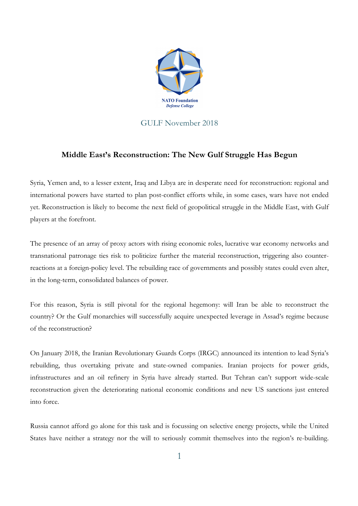

## GULF November 2018

## **Middle East's Reconstruction: The New Gulf Struggle Has Begun**

Syria, Yemen and, to a lesser extent, Iraq and Libya are in desperate need for reconstruction: regional and international powers have started to plan post-conflict efforts while, in some cases, wars have not ended yet. Reconstruction is likely to become the next field of geopolitical struggle in the Middle East, with Gulf players at the forefront.

The presence of an array of proxy actors with rising economic roles, lucrative war economy networks and transnational patronage ties risk to politicize further the material reconstruction, triggering also counterreactions at a foreign-policy level. The rebuilding race of governments and possibly states could even alter, in the long-term, consolidated balances of power.

For this reason, Syria is still pivotal for the regional hegemony: will Iran be able to reconstruct the country? Or the Gulf monarchies will successfully acquire unexpected leverage in Assad's regime because of the reconstruction?

On January 2018, the Iranian Revolutionary Guards Corps (IRGC) announced its intention to lead Syria's rebuilding, thus overtaking private and state-owned companies. Iranian projects for power grids, infrastructures and an oil refinery in Syria have already started. But Tehran can't support wide-scale reconstruction given the deteriorating national economic conditions and new US sanctions just entered into force.

Russia cannot afford go alone for this task and is focussing on selective energy projects, while the United States have neither a strategy nor the will to seriously commit themselves into the region's re-building.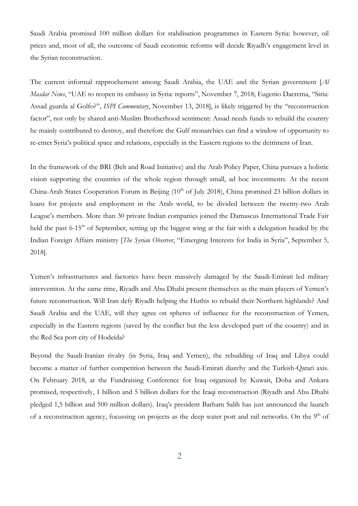Saudi Arabia promised 100 million dollars for stabilisation programmes in Eastern Syria: however, oil prices and, most of all, the outcome of Saudi economic reforms will decide Riyadh's engagement level in the Syrian reconstruction.

The current informal rapprochement among Saudi Arabia, the UAE and the Syrian government [*Al Masdar News*, "UAE to reopen its embassy in Syria: reports", November 7, 2018; Eugenio Dacrema, "Siria: Assad guarda al Golfo?", *ISPI Commentary*, November 13, 2018], is likely triggered by the "reconstruction factor", not only by shared anti-Muslim Brotherhood sentiment: Assad needs funds to rebuild the country he mainly contributed to destroy, and therefore the Gulf monarchies can find a window of opportunity to re-enter Syria's political space and relations, especially in the Eastern regions to the detriment of Iran.

In the framework of the BRI (Belt and Road Initiative) and the Arab Policy Paper, China pursues a holistic vision supporting the countries of the whole region through small, ad hoc investments. At the recent China-Arab States Cooperation Forum in Beijing  $(10<sup>th</sup>$  of July 2018), China promised 23 billion dollars in loans for projects and employment in the Arab world, to be divided between the twenty-two Arab League's members. More than 30 private Indian companies joined the Damascus International Trade Fair held the past 6-15<sup>th</sup> of September, setting up the biggest wing at the fair with a delegation headed by the Indian Foreign Affairs ministry [*The Syrian Observer*, "Emerging Interests for India in Syria", September 5, 2018].

Yemen's infrastructures and factories have been massively damaged by the Saudi-Emirati led military intervention. At the same time, Riyadh and Abu Dhabi present themselves as the main players of Yemen's future reconstruction. Will Iran defy Riyadh helping the Huthis to rebuild their Northern highlands? And Saudi Arabia and the UAE, will they agree on spheres of influence for the reconstruction of Yemen, especially in the Eastern regions (saved by the conflict but the less developed part of the country) and in the Red Sea port city of Hodeida?

Beyond the Saudi-Iranian rivalry (in Syria, Iraq and Yemen), the rebuilding of Iraq and Libya could become a matter of further competition between the Saudi-Emirati diarchy and the Turkish-Qatari axis. On February 2018, at the Fundraising Conference for Iraq organized by Kuwait, Doha and Ankara promised, respectively, 1 billion and 5 billion dollars for the Iraqi reconstruction (Riyadh and Abu Dhabi pledged 1,5 billion and 500 million dollars). Iraq's president Barham Salih has just announced the launch of a reconstruction agency, focussing on projects as the deep water port and rail networks. On the  $9<sup>th</sup>$  of